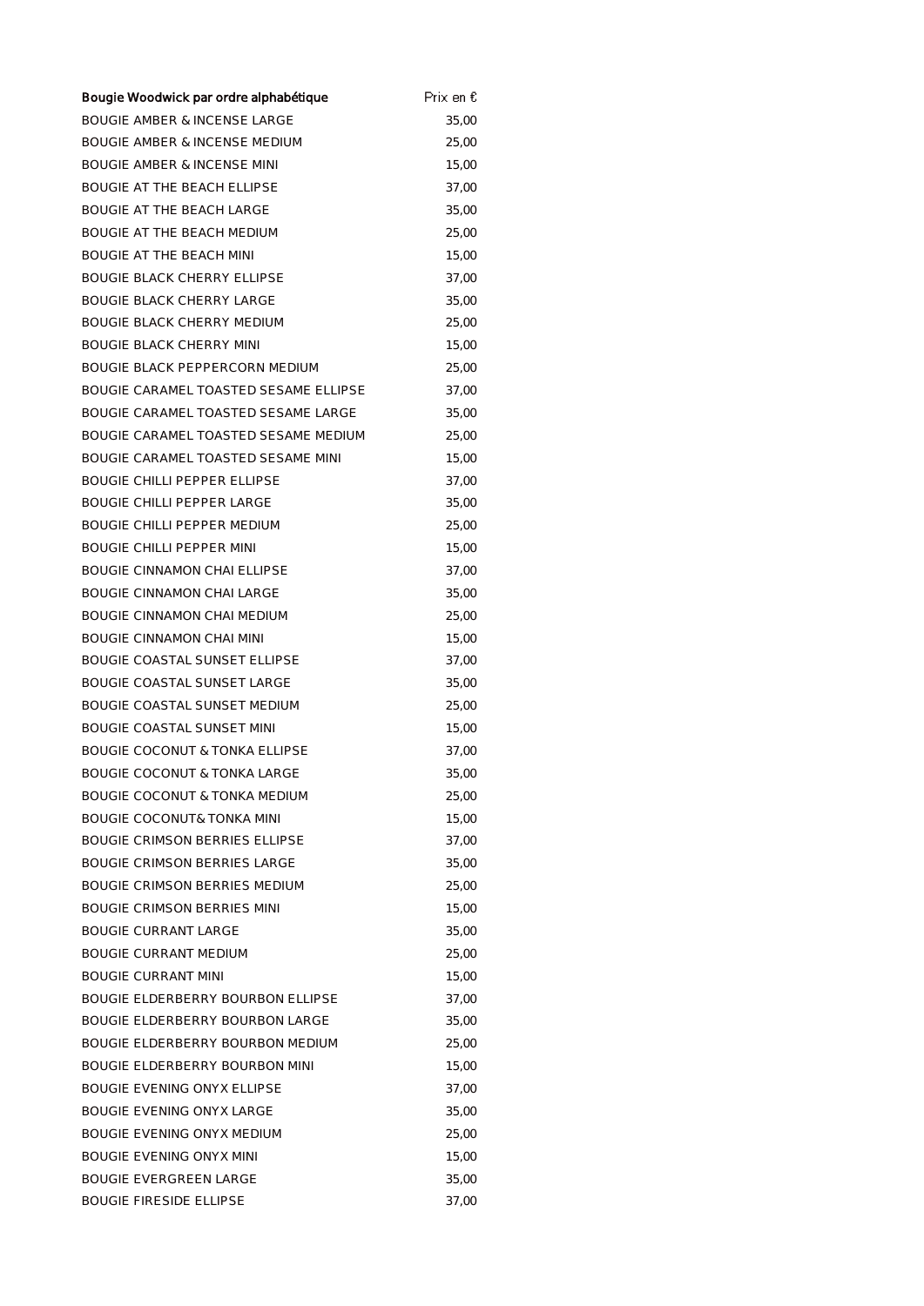| Bougie Woodwick par ordre alphabétique    | Prix en € |
|-------------------------------------------|-----------|
| <b>BOUGIE AMBER &amp; INCENSE LARGE</b>   | 35,00     |
| <b>BOUGIE AMBER &amp; INCENSE MEDIUM</b>  | 25,00     |
| <b>BOUGIE AMBER &amp; INCENSE MINI</b>    | 15,00     |
| <b>BOUGIE AT THE BEACH ELLIPSE</b>        | 37,00     |
| <b>BOUGIE AT THE BEACH LARGE</b>          | 35,00     |
| <b>BOUGIE AT THE BEACH MEDIUM</b>         | 25,00     |
| <b>BOUGIE AT THE BEACH MINI</b>           | 15,00     |
| <b>BOUGIE BLACK CHERRY ELLIPSE</b>        | 37,00     |
| <b>BOUGIE BLACK CHERRY LARGE</b>          | 35,00     |
| <b>BOUGIE BLACK CHERRY MEDIUM</b>         | 25,00     |
| <b>BOUGIE BLACK CHERRY MINI</b>           | 15,00     |
| <b>BOUGIE BLACK PEPPERCORN MEDIUM</b>     | 25,00     |
| BOUGIE CARAMEL TOASTED SESAME ELLIPSE     | 37,00     |
| BOUGIE CARAMEL TOASTED SESAME LARGE       | 35,00     |
| BOUGIE CARAMEL TOASTED SESAME MEDIUM      | 25,00     |
| BOUGIE CARAMEL TOASTED SESAME MINI        | 15,00     |
| <b>BOUGIE CHILLI PEPPER ELLIPSE</b>       | 37,00     |
| <b>BOUGIE CHILLI PEPPER LARGE</b>         | 35,00     |
| <b>BOUGIE CHILLI PEPPER MEDIUM</b>        | 25,00     |
| <b>BOUGIE CHILLI PEPPER MINI</b>          | 15,00     |
| <b>BOUGIE CINNAMON CHAI ELLIPSE</b>       | 37,00     |
| <b>BOUGIE CINNAMON CHAI LARGE</b>         | 35,00     |
| BOUGIE CINNAMON CHAI MEDIUM               | 25,00     |
| <b>BOUGIE CINNAMON CHAI MINI</b>          | 15,00     |
| <b>BOUGIE COASTAL SUNSET ELLIPSE</b>      | 37,00     |
| <b>BOUGIE COASTAL SUNSET LARGE</b>        | 35,00     |
| BOUGIE COASTAL SUNSET MEDIUM              | 25,00     |
| <b>BOUGIE COASTAL SUNSET MINI</b>         | 15,00     |
| <b>BOUGIE COCONUT &amp; TONKA ELLIPSE</b> | 37,00     |
| <b>BOUGIE COCONUT &amp; TONKA LARGE</b>   | 35,00     |
| BOUGIE COCONUT & TONKA MEDIUM             | 25,00     |
| <b>BOUGIE COCONUT&amp; TONKA MINI</b>     | 15,00     |
| <b>BOUGIE CRIMSON BERRIES ELLIPSE</b>     | 37,00     |
| <b>BOUGIE CRIMSON BERRIES LARGE</b>       | 35,00     |
| <b>BOUGIE CRIMSON BERRIES MEDIUM</b>      | 25,00     |
| BOUGIE CRIMSON BERRIES MINI               | 15,00     |
| BOUGIE CURRANT LARGE                      | 35,00     |
| BOUGIE CURRANT MEDIUM                     | 25,00     |
| <b>BOUGIE CURRANT MINI</b>                | 15,00     |
| BOUGIE ELDERBERRY BOURBON ELLIPSE         | 37,00     |
| <b>BOUGIE ELDERBERRY BOURBON LARGE</b>    | 35,00     |
| BOUGIE ELDERBERRY BOURBON MEDIUM          | 25,00     |
| BOUGIE ELDERBERRY BOURBON MINI            | 15,00     |
| <b>BOUGIE EVENING ONYX ELLIPSE</b>        | 37,00     |
| <b>BOUGIE EVENING ONYX LARGE</b>          | 35,00     |
| <b>BOUGIE EVENING ONYX MEDIUM</b>         | 25,00     |
| <b>BOUGIE EVENING ONYX MINI</b>           | 15,00     |
| <b>BOUGIE EVERGREEN LARGE</b>             | 35,00     |
| <b>BOUGIE FIRESIDE ELLIPSE</b>            | 37,00     |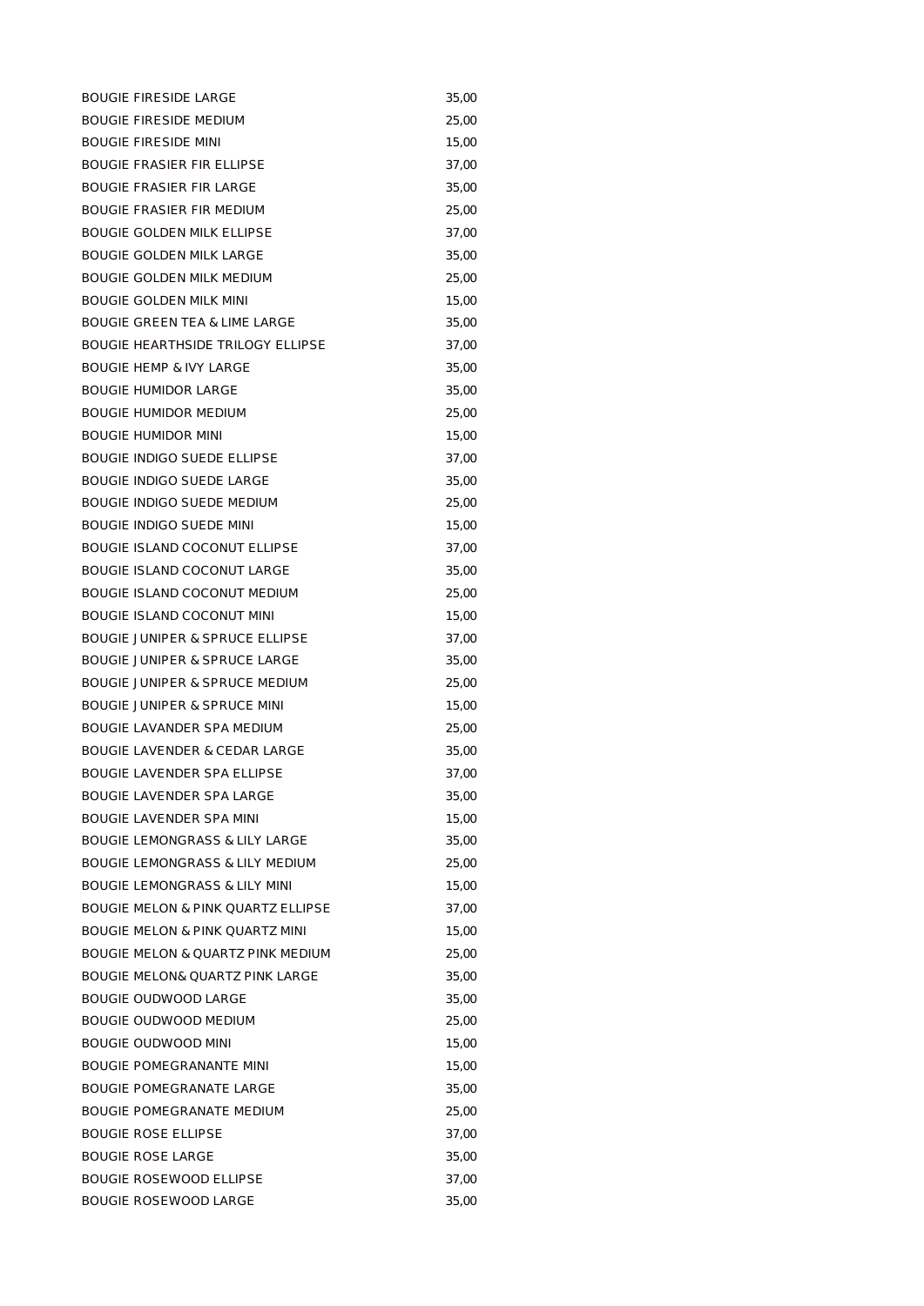| <b>BOUGIE FIRESIDE LARGE</b>                 | 35,00 |
|----------------------------------------------|-------|
| <b>BOUGIE FIRESIDE MEDIUM</b>                | 25,00 |
| <b>BOUGIE FIRESIDE MINI</b>                  | 15,00 |
| <b>BOUGIE FRASIER FIR ELLIPSE</b>            | 37,00 |
| <b>BOUGIE FRASIER FIR LARGE</b>              | 35,00 |
| <b>BOUGIE FRASIER FIR MEDIUM</b>             | 25,00 |
| <b>BOUGIE GOLDEN MILK ELLIPSE</b>            | 37,00 |
| <b>BOUGIE GOLDEN MILK LARGE</b>              | 35,00 |
| <b>BOUGIE GOLDEN MILK MEDIUM</b>             | 25,00 |
| <b>BOUGIE GOLDEN MILK MINI</b>               | 15,00 |
| <b>BOUGIE GREEN TEA &amp; LIME LARGE</b>     | 35,00 |
| <b>BOUGIE HEARTHSIDE TRILOGY ELLIPSE</b>     | 37,00 |
| <b>BOUGIE HEMP &amp; IVY LARGE</b>           | 35,00 |
| <b>BOUGIE HUMIDOR LARGE</b>                  | 35,00 |
| <b>BOUGIE HUMIDOR MEDIUM</b>                 | 25,00 |
| <b>BOUGIE HUMIDOR MINI</b>                   | 15,00 |
| <b>BOUGIE INDIGO SUEDE ELLIPSE</b>           | 37,00 |
| <b>BOUGIE INDIGO SUEDE LARGE</b>             | 35,00 |
| <b>BOUGIE INDIGO SUEDE MEDIUM</b>            | 25,00 |
| <b>BOUGIE INDIGO SUEDE MINI</b>              | 15,00 |
| <b>BOUGIE ISLAND COCONUT ELLIPSE</b>         | 37,00 |
| <b>BOUGIE ISLAND COCONUT LARGE</b>           | 35,00 |
| BOUGIE ISLAND COCONUT MEDIUM                 | 25,00 |
| BOUGIE ISLAND COCONUT MINI                   | 15,00 |
| <b>BOUGIE JUNIPER &amp; SPRUCE ELLIPSE</b>   | 37,00 |
| <b>BOUGIE JUNIPER &amp; SPRUCE LARGE</b>     | 35,00 |
| <b>BOUGIE JUNIPER &amp; SPRUCE MEDIUM</b>    | 25,00 |
| <b>BOUGIE JUNIPER &amp; SPRUCE MINI</b>      | 15,00 |
| BOUGIE LAVANDER SPA MEDIUM                   | 25,00 |
| <b>BOUGIE LAVENDER &amp; CEDAR LARGE</b>     | 35,00 |
| <b>BOUGIE LAVENDER SPA ELLIPSE</b>           | 37,00 |
| <b>BOUGIE LAVENDER SPA LARGE</b>             | 35,00 |
| <b>BOUGIE LAVENDER SPA MINI</b>              | 15,00 |
| <b>BOUGIE LEMONGRASS &amp; LILY LARGE</b>    | 35,00 |
| <b>BOUGIE LEMONGRASS &amp; LILY MEDIUM</b>   | 25,00 |
| <b>BOUGIE LEMONGRASS &amp; LILY MINI</b>     | 15,00 |
| BOUGIE MELON & PINK QUARTZ ELLIPSE           | 37,00 |
| <b>BOUGIE MELON &amp; PINK QUARTZ MINI</b>   | 15,00 |
| <b>BOUGIE MELON &amp; QUARTZ PINK MEDIUM</b> | 25,00 |
| <b>BOUGIE MELON&amp; QUARTZ PINK LARGE</b>   | 35,00 |
| BOUGIE OUDWOOD LARGE                         | 35,00 |
| BOUGIE OUDWOOD MEDIUM                        | 25,00 |
| BOUGIE OUDWOOD MINI                          | 15,00 |
| <b>BOUGIE POMEGRANANTE MINI</b>              | 15,00 |
| <b>BOUGIE POMEGRANATE LARGE</b>              | 35,00 |
| BOUGIE POMEGRANATE MEDIUM                    | 25,00 |
| <b>BOUGIE ROSE ELLIPSE</b>                   | 37,00 |
| <b>BOUGIE ROSE LARGE</b>                     | 35,00 |
| <b>BOUGIE ROSEWOOD ELLIPSE</b>               | 37,00 |
| BOUGIE ROSEWOOD LARGE                        | 35,00 |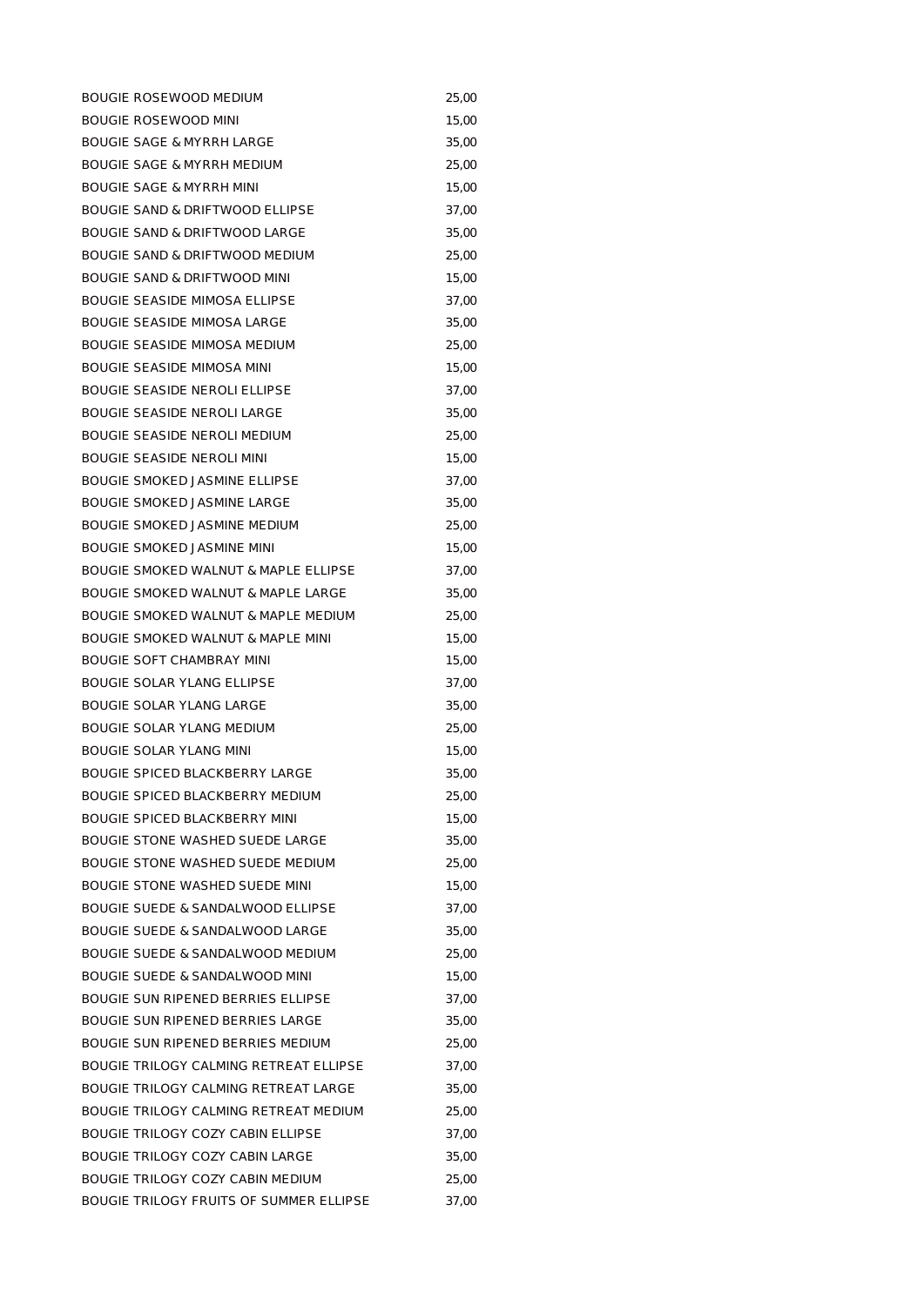| <b>BOUGIE ROSEWOOD MEDIUM</b>                   | 25,00 |
|-------------------------------------------------|-------|
| <b>BOUGIE ROSEWOOD MINI</b>                     | 15,00 |
| <b>BOUGIE SAGE &amp; MYRRH LARGE</b>            | 35,00 |
| <b>BOUGIE SAGE &amp; MYRRH MEDIUM</b>           | 25,00 |
| <b>BOUGIE SAGE &amp; MYRRH MINI</b>             | 15,00 |
| <b>BOUGIE SAND &amp; DRIFTWOOD ELLIPSE</b>      | 37,00 |
| BOUGIE SAND & DRIFTWOOD LARGE                   | 35,00 |
| <b>BOUGIE SAND &amp; DRIFTWOOD MEDIUM</b>       | 25,00 |
| <b>BOUGIE SAND &amp; DRIFTWOOD MINI</b>         | 15,00 |
| <b>BOUGIE SEASIDE MIMOSA ELLIPSE</b>            | 37,00 |
| BOUGIE SEASIDE MIMOSA LARGE                     | 35,00 |
| <b>BOUGIE SEASIDE MIMOSA MEDIUM</b>             | 25,00 |
| <b>BOUGIE SEASIDE MIMOSA MINI</b>               | 15,00 |
| <b>BOUGIE SEASIDE NEROLI ELLIPSE</b>            | 37,00 |
| <b>BOUGIE SEASIDE NEROLI LARGE</b>              | 35,00 |
| <b>BOUGIE SEASIDE NEROLI MEDIUM</b>             | 25,00 |
| <b>BOUGIE SEASIDE NEROLI MINI</b>               | 15,00 |
| <b>BOUGIE SMOKED JASMINE ELLIPSE</b>            | 37,00 |
| <b>BOUGIE SMOKED JASMINE LARGE</b>              | 35,00 |
| <b>BOUGIE SMOKED JASMINE MEDIUM</b>             | 25,00 |
| <b>BOUGIE SMOKED JASMINE MINI</b>               | 15,00 |
| <b>BOUGIE SMOKED WALNUT &amp; MAPLE ELLIPSE</b> | 37,00 |
| BOUGIE SMOKED WALNUT & MAPLE LARGE              | 35,00 |
| <b>BOUGIE SMOKED WALNUT &amp; MAPLE MEDIUM</b>  | 25,00 |
| <b>BOUGIE SMOKED WALNUT &amp; MAPLE MINI</b>    | 15,00 |
| <b>BOUGIE SOFT CHAMBRAY MINI</b>                | 15,00 |
| <b>BOUGIE SOLAR YLANG ELLIPSE</b>               | 37,00 |
| <b>BOUGIE SOLAR YLANG LARGE</b>                 | 35,00 |
| <b>BOUGIE SOLAR YLANG MEDIUM</b>                | 25,00 |
| <b>BOUGIE SOLAR YLANG MINI</b>                  | 15,00 |
| <b>BOUGIE SPICED BLACKBERRY LARGE</b>           | 35,00 |
| <b>BOUGIE SPICED BLACKBERRY MEDIUM</b>          | 25,00 |
| <b>BOUGIE SPICED BLACKBERRY MINI</b>            | 15,00 |
| BOUGIE STONE WASHED SUEDE LARGE                 | 35,00 |
| <b>BOUGIE STONE WASHED SUEDE MEDIUM</b>         | 25,00 |
| BOUGIE STONE WASHED SUEDE MINI                  | 15,00 |
| <b>BOUGIE SUEDE &amp; SANDALWOOD ELLIPSE</b>    | 37,00 |
| <b>BOUGIE SUEDE &amp; SANDALWOOD LARGE</b>      | 35,00 |
| <b>BOUGIE SUEDE &amp; SANDALWOOD MEDIUM</b>     | 25,00 |
| <b>BOUGIE SUEDE &amp; SANDALWOOD MINI</b>       | 15,00 |
| <b>BOUGIE SUN RIPENED BERRIES ELLIPSE</b>       | 37,00 |
| BOUGIE SUN RIPENED BERRIES LARGE                | 35,00 |
| BOUGIE SUN RIPENED BERRIES MEDIUM               | 25,00 |
| <b>BOUGIE TRILOGY CALMING RETREAT ELLIPSE</b>   | 37,00 |
| BOUGIE TRILOGY CALMING RETREAT LARGE            | 35,00 |
| BOUGIE TRILOGY CALMING RETREAT MEDIUM           | 25,00 |
| BOUGIE TRILOGY COZY CABIN ELLIPSE               | 37,00 |
| <b>BOUGIE TRILOGY COZY CABIN LARGE</b>          | 35,00 |
| BOUGIE TRILOGY COZY CABIN MEDIUM                | 25,00 |
| BOUGIE TRILOGY FRUITS OF SUMMER ELLIPSE         | 37,00 |